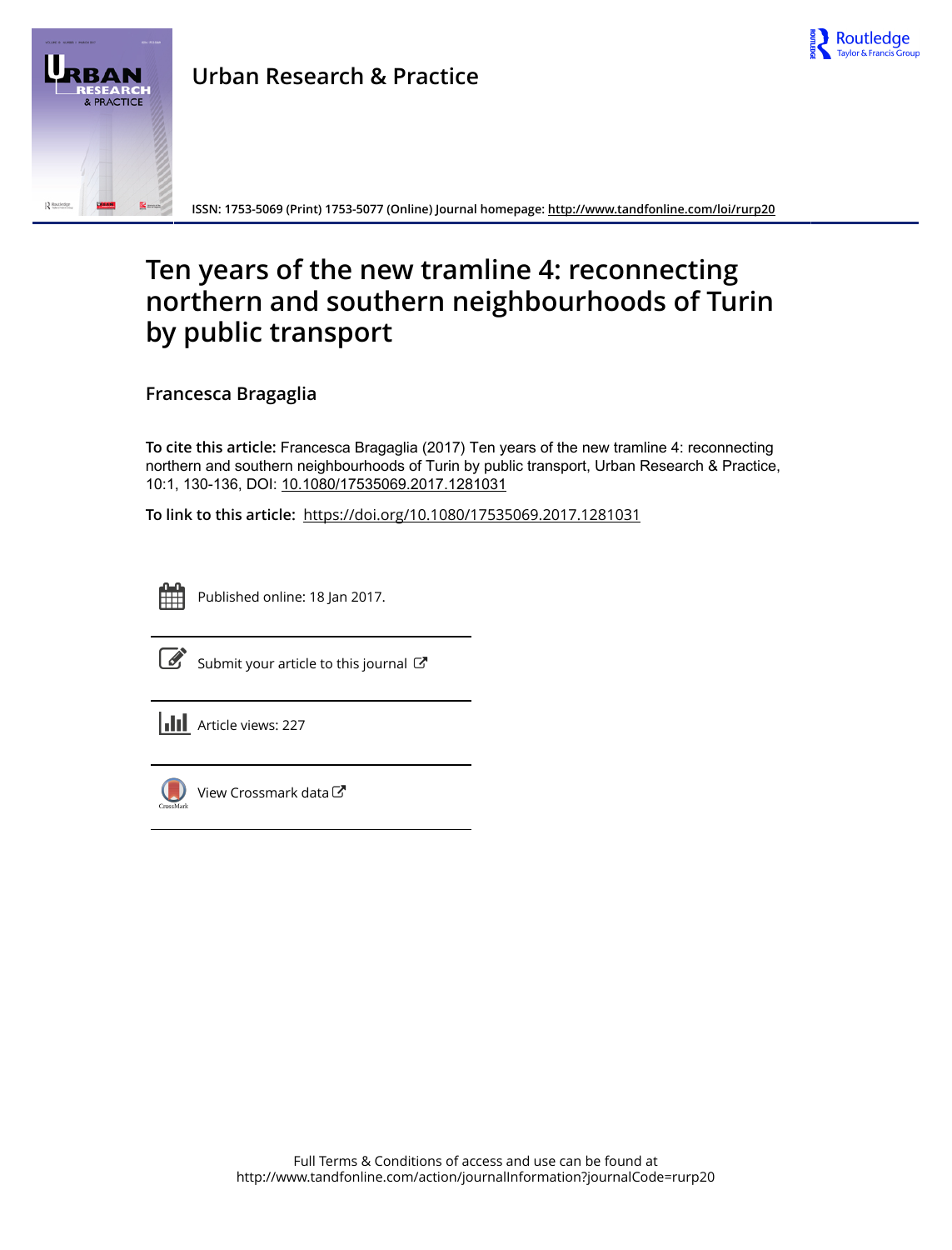

**ISSN: 1753-5069 (Print) 1753-5077 (Online) Journal homepage:<http://www.tandfonline.com/loi/rurp20>**

# **Ten years of the new tramline 4: reconnecting northern and southern neighbourhoods of Turin by public transport**

**Francesca Bragaglia**

**To cite this article:** Francesca Bragaglia (2017) Ten years of the new tramline 4: reconnecting northern and southern neighbourhoods of Turin by public transport, Urban Research & Practice, 10:1, 130-136, DOI: [10.1080/17535069.2017.1281031](http://www.tandfonline.com/action/showCitFormats?doi=10.1080/17535069.2017.1281031)

**To link to this article:** <https://doi.org/10.1080/17535069.2017.1281031>



Published online: 18 Jan 2017.



 $\overrightarrow{S}$  [Submit your article to this journal](http://www.tandfonline.com/action/authorSubmission?journalCode=rurp20&show=instructions)  $\overrightarrow{S}$ 





 $\bigcirc$  [View Crossmark data](http://crossmark.crossref.org/dialog/?doi=10.1080/17535069.2017.1281031&domain=pdf&date_stamp=2017-01-18) $\mathbb{Z}$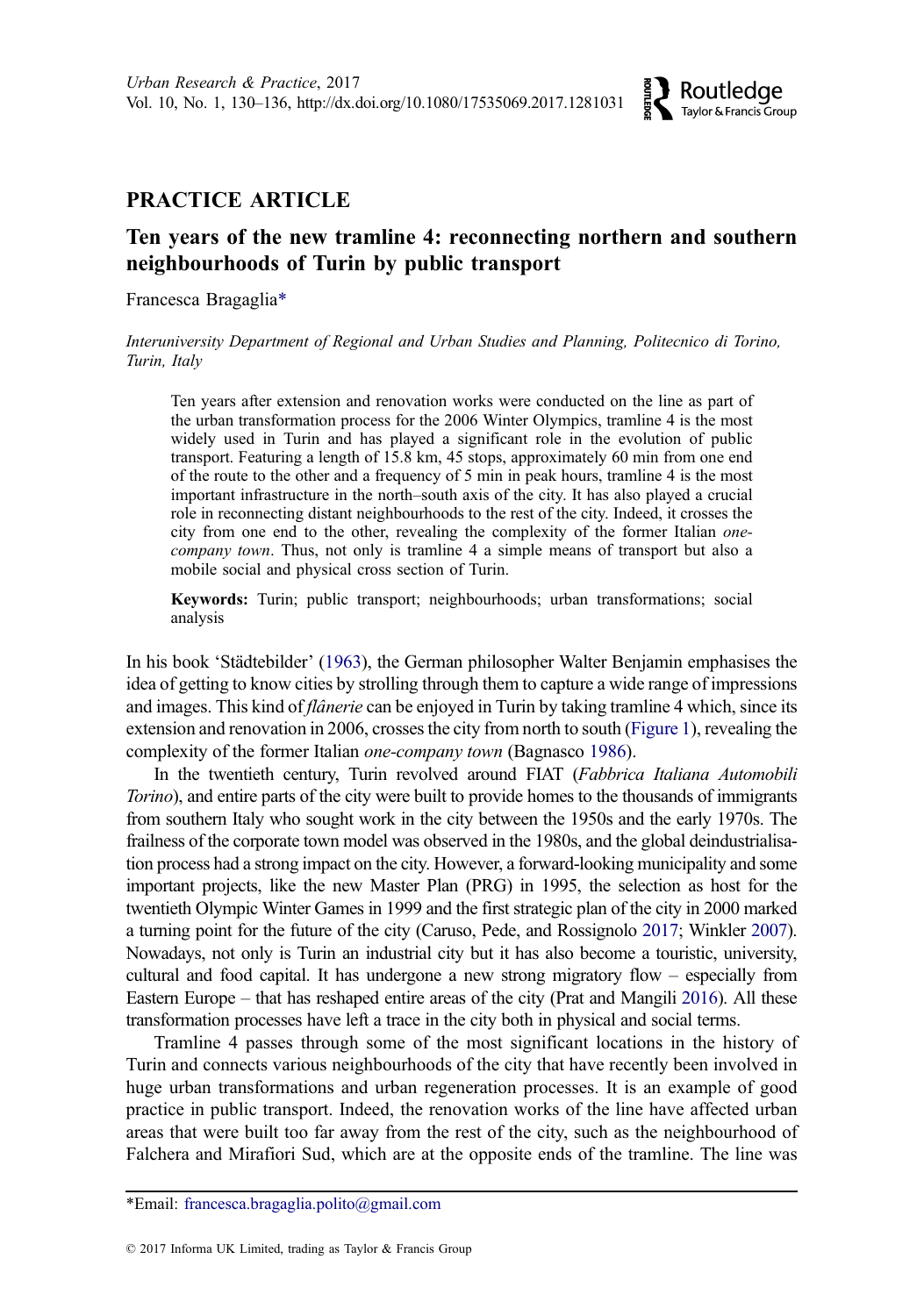# <span id="page-1-0"></span>PRACTICE ARTICLE

# Ten years of the new tramline 4: reconnecting northern and southern neighbourhoods of Turin by public transport

Francesca Bragaglia\*

Interuniversity Department of Regional and Urban Studies and Planning, Politecnico di Torino, Turin, Italy

Ten years after extension and renovation works were conducted on the line as part of the urban transformation process for the 2006 Winter Olympics, tramline 4 is the most widely used in Turin and has played a significant role in the evolution of public transport. Featuring a length of 15.8 km, 45 stops, approximately 60 min from one end of the route to the other and a frequency of 5 min in peak hours, tramline 4 is the most important infrastructure in the north–south axis of the city. It has also played a crucial role in reconnecting distant neighbourhoods to the rest of the city. Indeed, it crosses the city from one end to the other, revealing the complexity of the former Italian onecompany town. Thus, not only is tramline 4 a simple means of transport but also a mobile social and physical cross section of Turin.

Keywords: Turin; public transport; neighbourhoods; urban transformations; social analysis

In his book 'Städtebilder' [\(1963](#page-7-0)), the German philosopher Walter Benjamin emphasises the idea of getting to know cities by strolling through them to capture a wide range of impressions and images. This kind of *flânerie* can be enjoyed in Turin by taking tramline 4 which, since its extension and renovation in 2006, crosses the city from north to south ([Figure 1\)](#page-2-0), revealing the complexity of the former Italian *one-company town* (Bagnasco [1986](#page-7-0)).

In the twentieth century, Turin revolved around FIAT (Fabbrica Italiana Automobili Torino), and entire parts of the city were built to provide homes to the thousands of immigrants from southern Italy who sought work in the city between the 1950s and the early 1970s. The frailness of the corporate town model was observed in the 1980s, and the global deindustrialisation process had a strong impact on the city. However, a forward-looking municipality and some important projects, like the new Master Plan (PRG) in 1995, the selection as host for the twentieth Olympic Winter Games in 1999 and the first strategic plan of the city in 2000 marked a turning point for the future of the city (Caruso, Pede, and Rossignolo [2017](#page-7-0); Winkler [2007](#page-7-0)). Nowadays, not only is Turin an industrial city but it has also become a touristic, university, cultural and food capital. It has undergone a new strong migratory flow – especially from Eastern Europe – that has reshaped entire areas of the city (Prat and Mangili [2016](#page-7-0)). All these transformation processes have left a trace in the city both in physical and social terms.

Tramline 4 passes through some of the most significant locations in the history of Turin and connects various neighbourhoods of the city that have recently been involved in huge urban transformations and urban regeneration processes. It is an example of good practice in public transport. Indeed, the renovation works of the line have affected urban areas that were built too far away from the rest of the city, such as the neighbourhood of Falchera and Mirafiori Sud, which are at the opposite ends of the tramline. The line was

<sup>\*</sup>Email: francesca.bragaglia.polito@gmail.com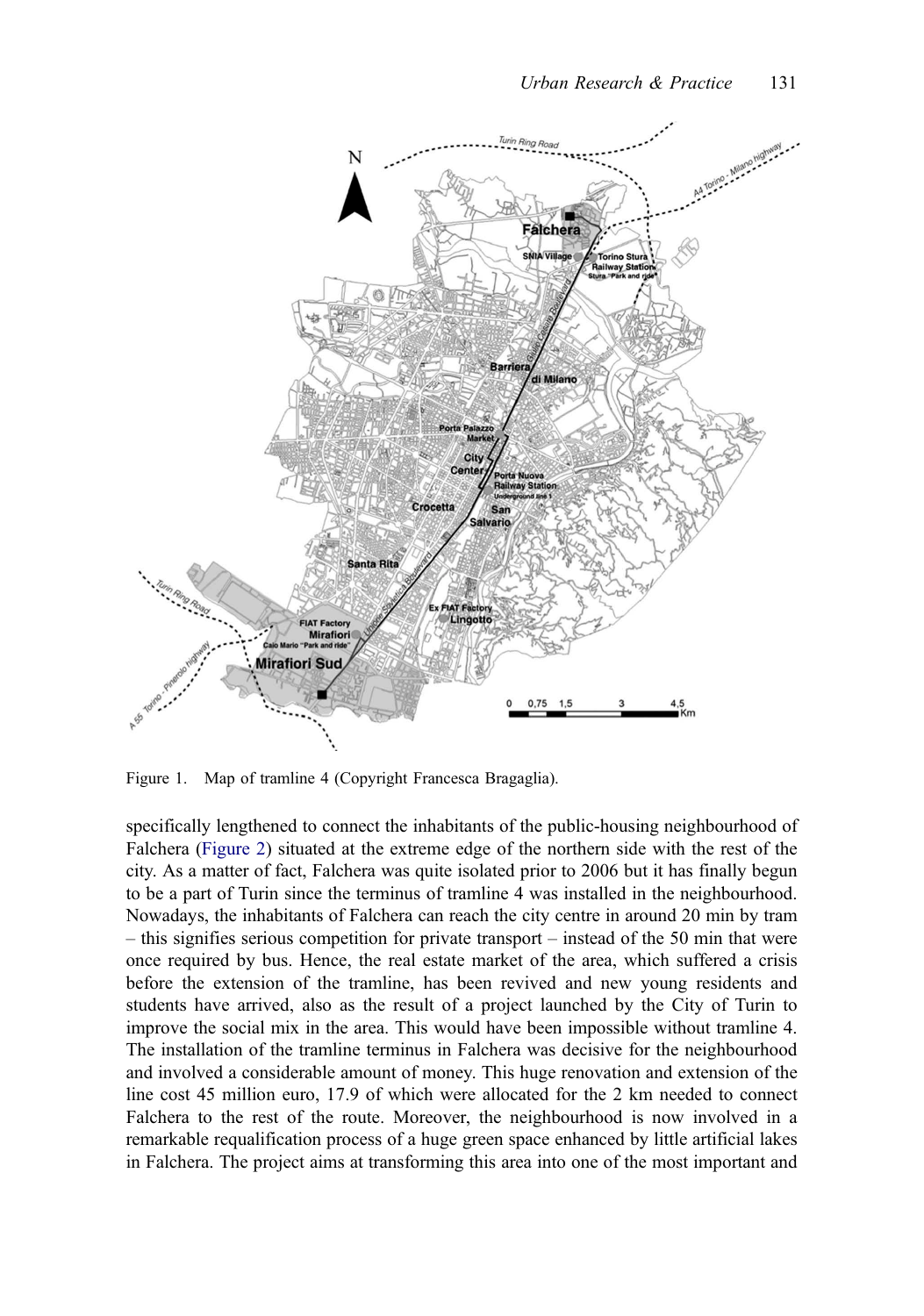<span id="page-2-0"></span>

Figure 1. Map of tramline 4 (Copyright Francesca Bragaglia).

specifically lengthened to connect the inhabitants of the public-housing neighbourhood of Falchera ([Figure 2\)](#page-3-0) situated at the extreme edge of the northern side with the rest of the city. As a matter of fact, Falchera was quite isolated prior to 2006 but it has finally begun to be a part of Turin since the terminus of tramline 4 was installed in the neighbourhood. Nowadays, the inhabitants of Falchera can reach the city centre in around 20 min by tram – this signifies serious competition for private transport – instead of the 50 min that were once required by bus. Hence, the real estate market of the area, which suffered a crisis before the extension of the tramline, has been revived and new young residents and students have arrived, also as the result of a project launched by the City of Turin to improve the social mix in the area. This would have been impossible without tramline 4. The installation of the tramline terminus in Falchera was decisive for the neighbourhood and involved a considerable amount of money. This huge renovation and extension of the line cost 45 million euro, 17.9 of which were allocated for the 2 km needed to connect Falchera to the rest of the route. Moreover, the neighbourhood is now involved in a remarkable requalification process of a huge green space enhanced by little artificial lakes in Falchera. The project aims at transforming this area into one of the most important and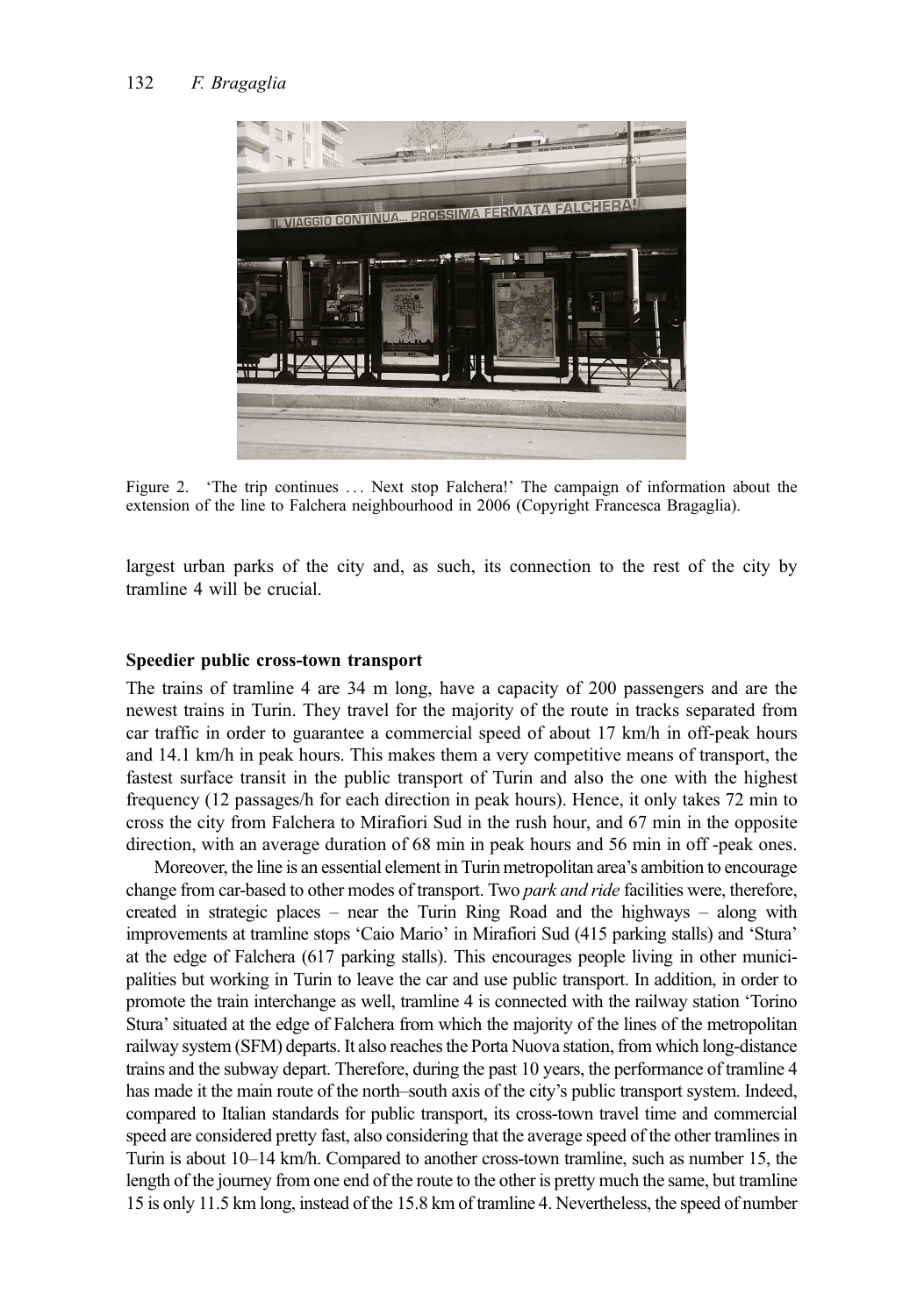<span id="page-3-0"></span>

Figure 2. 'The trip continues ... Next stop Falchera!' The campaign of information about the extension of the line to Falchera neighbourhood in 2006 (Copyright Francesca Bragaglia).

largest urban parks of the city and, as such, its connection to the rest of the city by tramline 4 will be crucial.

## Speedier public cross-town transport

The trains of tramline 4 are 34 m long, have a capacity of 200 passengers and are the newest trains in Turin. They travel for the majority of the route in tracks separated from car traffic in order to guarantee a commercial speed of about 17 km/h in off-peak hours and 14.1 km/h in peak hours. This makes them a very competitive means of transport, the fastest surface transit in the public transport of Turin and also the one with the highest frequency (12 passages/h for each direction in peak hours). Hence, it only takes 72 min to cross the city from Falchera to Mirafiori Sud in the rush hour, and 67 min in the opposite direction, with an average duration of 68 min in peak hours and 56 min in off -peak ones.

Moreover, the line is an essential element in Turin metropolitan area's ambition to encourage change from car-based to other modes of transport. Two park and ride facilities were, therefore, created in strategic places – near the Turin Ring Road and the highways – along with improvements at tramline stops 'Caio Mario' in Mirafiori Sud (415 parking stalls) and 'Stura' at the edge of Falchera (617 parking stalls). This encourages people living in other municipalities but working in Turin to leave the car and use public transport. In addition, in order to promote the train interchange as well, tramline 4 is connected with the railway station 'Torino Stura' situated at the edge of Falchera from which the majority of the lines of the metropolitan railway system (SFM) departs. It also reaches the Porta Nuova station, from which long-distance trains and the subway depart. Therefore, during the past 10 years, the performance of tramline 4 has made it the main route of the north–south axis of the city's public transport system. Indeed, compared to Italian standards for public transport, its cross-town travel time and commercial speed are considered pretty fast, also considering that the average speed of the other tramlines in Turin is about 10–14 km/h. Compared to another cross-town tramline, such as number 15, the length of the journey from one end of the route to the other is pretty much the same, but tramline 15 is only 11.5 km long, instead of the 15.8 km of tramline 4. Nevertheless, the speed of number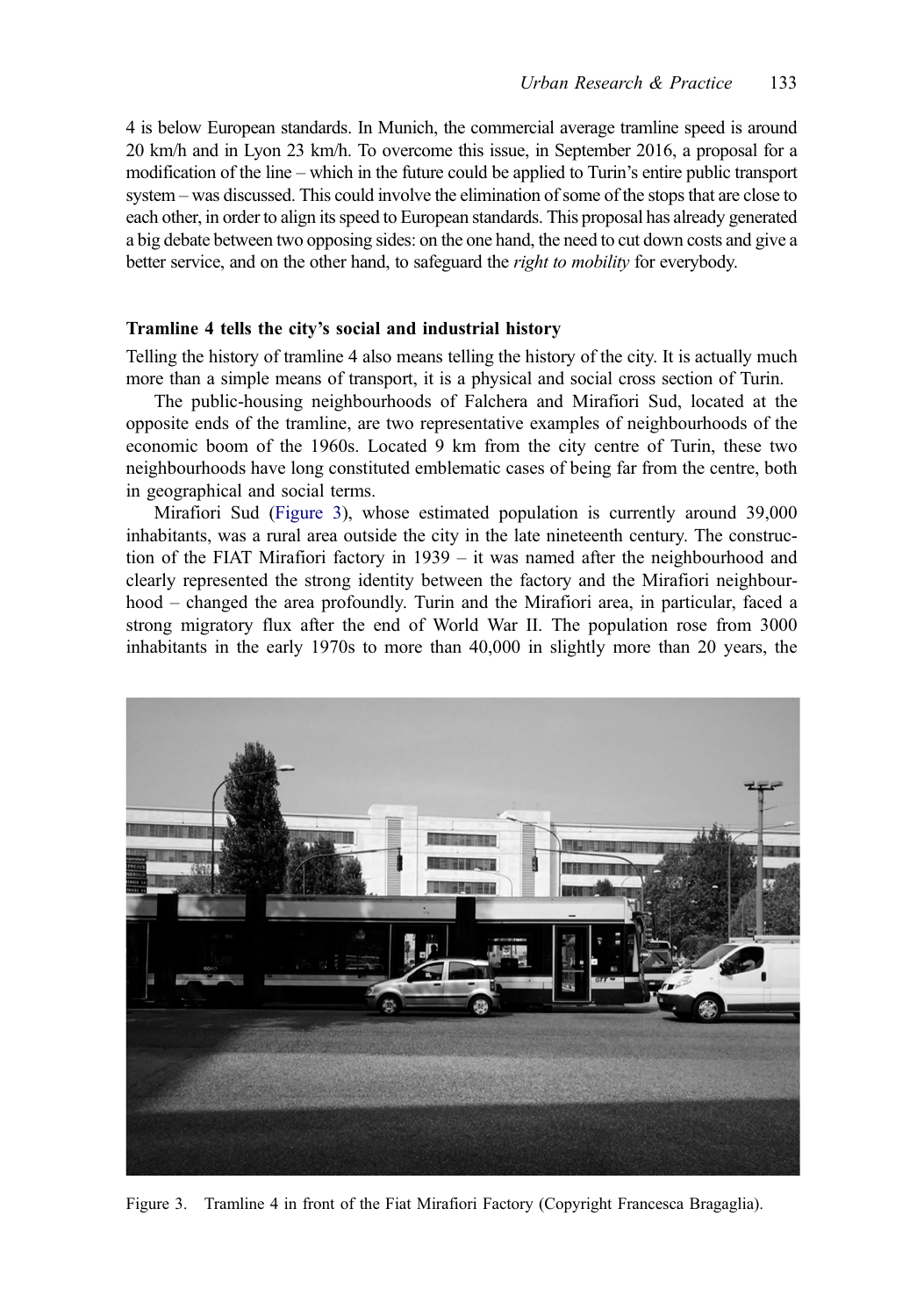4 is below European standards. In Munich, the commercial average tramline speed is around 20 km/h and in Lyon 23 km/h. To overcome this issue, in September 2016, a proposal for a modification of the line – which in the future could be applied to Turin's entire public transport system – was discussed. This could involve the elimination of some of the stops that are close to each other, in order to align its speed to European standards. This proposal has already generated a big debate between two opposing sides: on the one hand, the need to cut down costs and give a better service, and on the other hand, to safeguard the *right to mobility* for everybody.

#### Tramline 4 tells the city's social and industrial history

Telling the history of tramline 4 also means telling the history of the city. It is actually much more than a simple means of transport, it is a physical and social cross section of Turin.

The public-housing neighbourhoods of Falchera and Mirafiori Sud, located at the opposite ends of the tramline, are two representative examples of neighbourhoods of the economic boom of the 1960s. Located 9 km from the city centre of Turin, these two neighbourhoods have long constituted emblematic cases of being far from the centre, both in geographical and social terms.

Mirafiori Sud (Figure 3), whose estimated population is currently around 39,000 inhabitants, was a rural area outside the city in the late nineteenth century. The construction of the FIAT Mirafiori factory in 1939 – it was named after the neighbourhood and clearly represented the strong identity between the factory and the Mirafiori neighbourhood – changed the area profoundly. Turin and the Mirafiori area, in particular, faced a strong migratory flux after the end of World War II. The population rose from 3000 inhabitants in the early 1970s to more than 40,000 in slightly more than 20 years, the



Figure 3. Tramline 4 in front of the Fiat Mirafiori Factory (Copyright Francesca Bragaglia).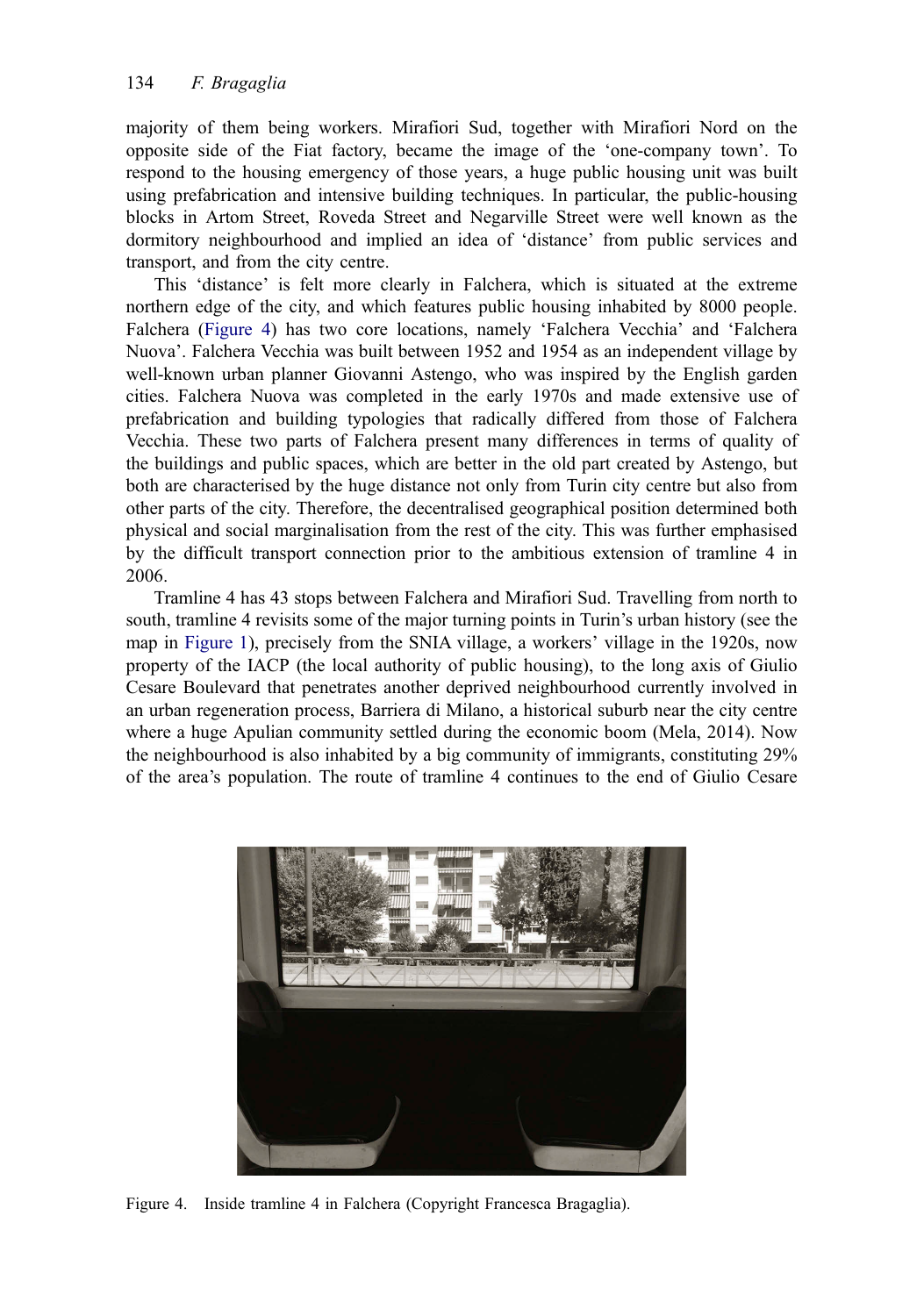majority of them being workers. Mirafiori Sud, together with Mirafiori Nord on the opposite side of the Fiat factory, became the image of the 'one-company town'. To respond to the housing emergency of those years, a huge public housing unit was built using prefabrication and intensive building techniques. In particular, the public-housing blocks in Artom Street, Roveda Street and Negarville Street were well known as the dormitory neighbourhood and implied an idea of 'distance' from public services and transport, and from the city centre.

This 'distance' is felt more clearly in Falchera, which is situated at the extreme northern edge of the city, and which features public housing inhabited by 8000 people. Falchera (Figure 4) has two core locations, namely 'Falchera Vecchia' and 'Falchera Nuova'. Falchera Vecchia was built between 1952 and 1954 as an independent village by well-known urban planner Giovanni Astengo, who was inspired by the English garden cities. Falchera Nuova was completed in the early 1970s and made extensive use of prefabrication and building typologies that radically differed from those of Falchera Vecchia. These two parts of Falchera present many differences in terms of quality of the buildings and public spaces, which are better in the old part created by Astengo, but both are characterised by the huge distance not only from Turin city centre but also from other parts of the city. Therefore, the decentralised geographical position determined both physical and social marginalisation from the rest of the city. This was further emphasised by the difficult transport connection prior to the ambitious extension of tramline 4 in 2006.

Tramline 4 has 43 stops between Falchera and Mirafiori Sud. Travelling from north to south, tramline 4 revisits some of the major turning points in Turin's urban history (see the map in [Figure 1\)](#page-2-0), precisely from the SNIA village, a workers' village in the 1920s, now property of the IACP (the local authority of public housing), to the long axis of Giulio Cesare Boulevard that penetrates another deprived neighbourhood currently involved in an urban regeneration process, Barriera di Milano, a historical suburb near the city centre where a huge Apulian community settled during the economic boom (Mela, 2014). Now the neighbourhood is also inhabited by a big community of immigrants, constituting 29% of the area's population. The route of tramline 4 continues to the end of Giulio Cesare



Figure 4. Inside tramline 4 in Falchera (Copyright Francesca Bragaglia).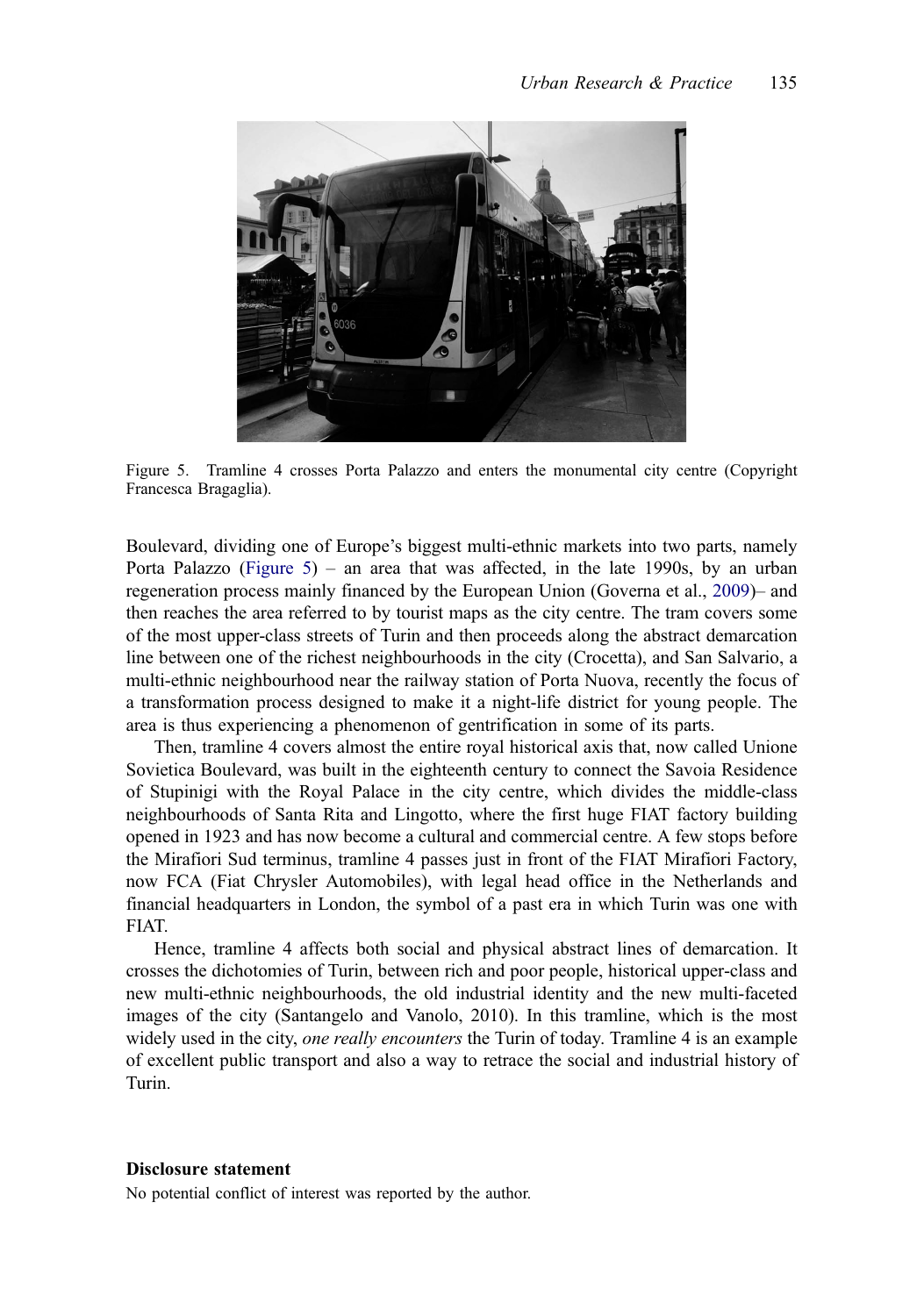<span id="page-6-0"></span>

Figure 5. Tramline 4 crosses Porta Palazzo and enters the monumental city centre (Copyright Francesca Bragaglia).

Boulevard, dividing one of Europe's biggest multi-ethnic markets into two parts, namely Porta Palazzo (Figure 5) – an area that was affected, in the late 1990s, by an urban regeneration process mainly financed by the European Union (Governa et al., [2009\)](#page-7-0)– and then reaches the area referred to by tourist maps as the city centre. The tram covers some of the most upper-class streets of Turin and then proceeds along the abstract demarcation line between one of the richest neighbourhoods in the city (Crocetta), and San Salvario, a multi-ethnic neighbourhood near the railway station of Porta Nuova, recently the focus of a transformation process designed to make it a night-life district for young people. The area is thus experiencing a phenomenon of gentrification in some of its parts.

Then, tramline 4 covers almost the entire royal historical axis that, now called Unione Sovietica Boulevard, was built in the eighteenth century to connect the Savoia Residence of Stupinigi with the Royal Palace in the city centre, which divides the middle-class neighbourhoods of Santa Rita and Lingotto, where the first huge FIAT factory building opened in 1923 and has now become a cultural and commercial centre. A few stops before the Mirafiori Sud terminus, tramline 4 passes just in front of the FIAT Mirafiori Factory, now FCA (Fiat Chrysler Automobiles), with legal head office in the Netherlands and financial headquarters in London, the symbol of a past era in which Turin was one with FIAT.

Hence, tramline 4 affects both social and physical abstract lines of demarcation. It crosses the dichotomies of Turin, between rich and poor people, historical upper-class and new multi-ethnic neighbourhoods, the old industrial identity and the new multi-faceted images of the city (Santangelo and Vanolo, 2010). In this tramline, which is the most widely used in the city, one really encounters the Turin of today. Tramline 4 is an example of excellent public transport and also a way to retrace the social and industrial history of Turin.

## Disclosure statement

No potential conflict of interest was reported by the author.